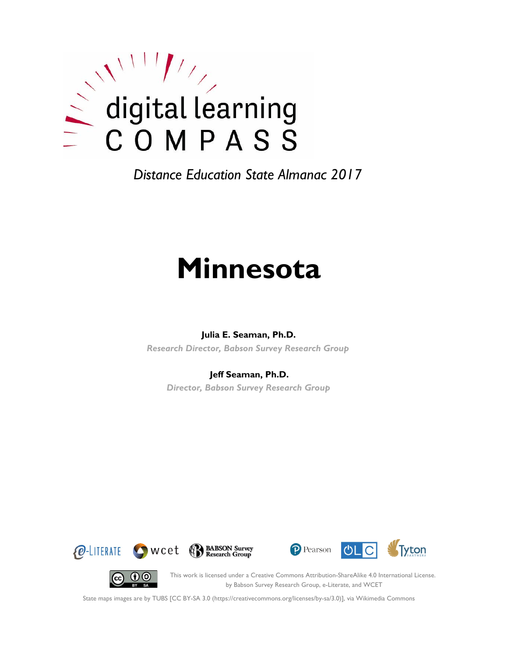

*Distance Education State Almanac 2017*

# **Minnesota**

#### **Julia E. Seaman, Ph.D.**

*Research Director, Babson Survey Research Group*

#### **Jeff Seaman, Ph.D.**

*Director, Babson Survey Research Group*







(cc)

This work is licensed under a Creative Commons Attribution-ShareAlike 4.0 International License. by Babson Survey Research Group, e-Literate, and WCET

State maps images are by TUBS [CC BY-SA 3.0 (https://creativecommons.org/licenses/by-sa/3.0)], via Wikimedia Commons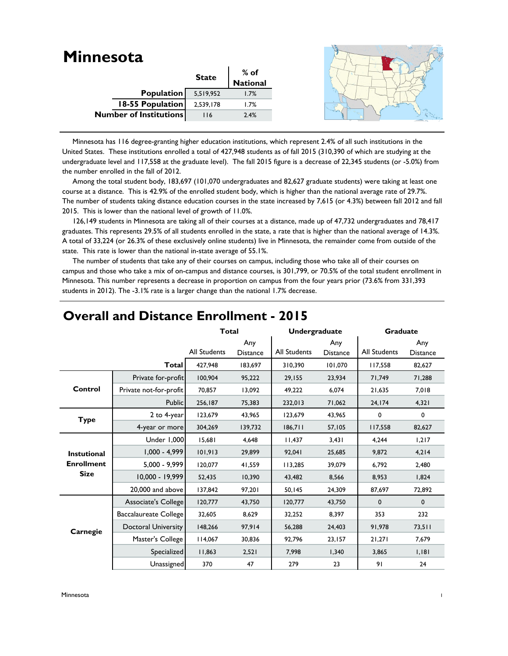| <b>Minnesota</b>              |              |                  |  |
|-------------------------------|--------------|------------------|--|
|                               | <b>State</b> | % of<br>National |  |
|                               |              |                  |  |
| <b>Population</b>             | 5,519,952    | 1.7%             |  |
| <b>18-55 Population</b>       | 2,539,178    | 1.7%             |  |
| <b>Number of Institutions</b> | 116          | 2.4%             |  |
|                               |              |                  |  |

 Minnesota has 116 degree-granting higher education institutions, which represent 2.4% of all such institutions in the United States. These institutions enrolled a total of 427,948 students as of fall 2015 (310,390 of which are studying at the undergraduate level and 117,558 at the graduate level). The fall 2015 figure is a decrease of 22,345 students (or -5.0%) from the number enrolled in the fall of 2012.

 Among the total student body, 183,697 (101,070 undergraduates and 82,627 graduate students) were taking at least one course at a distance. This is 42.9% of the enrolled student body, which is higher than the national average rate of 29.7%. The number of students taking distance education courses in the state increased by 7,615 (or 4.3%) between fall 2012 and fall 2015. This is lower than the national level of growth of 11.0%.

 126,149 students in Minnesota are taking all of their courses at a distance, made up of 47,732 undergraduates and 78,417 graduates. This represents 29.5% of all students enrolled in the state, a rate that is higher than the national average of 14.3%. A total of 33,224 (or 26.3% of these exclusively online students) live in Minnesota, the remainder come from outside of the state. This rate is lower than the national in-state average of 55.1%.

 The number of students that take any of their courses on campus, including those who take all of their courses on campus and those who take a mix of on-campus and distance courses, is 301,799, or 70.5% of the total student enrollment in Minnesota. This number represents a decrease in proportion on campus from the four years prior (73.6% from 331,393 students in 2012). The -3.1% rate is a larger change than the national 1.7% decrease.

|                    |                        | <b>Total</b> |                        | Undergraduate |                        | <b>Graduate</b> |                        |
|--------------------|------------------------|--------------|------------------------|---------------|------------------------|-----------------|------------------------|
|                    |                        | All Students | Any<br><b>Distance</b> | All Students  | Any<br><b>Distance</b> | All Students    | Any<br><b>Distance</b> |
|                    | Total                  | 427,948      | 183,697                | 310,390       | 101,070                | 117.558         | 82,627                 |
|                    | Private for-profit     | 100,904      | 95,222                 | 29,155        | 23,934                 | 71.749          | 71,288                 |
| Control            | Private not-for-profit | 70,857       | 13,092                 | 49,222        | 6,074                  | 21,635          | 7,018                  |
|                    | <b>Public</b>          | 256,187      | 75,383                 | 232,013       | 71,062                 | 24,174          | 4,321                  |
| <b>Type</b>        | 2 to 4-year            | 123,679      | 43,965                 | 123,679       | 43,965                 | 0               | 0                      |
|                    | 4-year or more         | 304,269      | 139,732                | 186,711       | 57,105                 | 117,558         | 82,627                 |
|                    | Under 1,000            | 15,681       | 4,648                  | 11,437        | 3,431                  | 4,244           | 1,217                  |
| <b>Instutional</b> | $1,000 - 4,999$        | 101,913      | 29,899                 | 92,041        | 25,685                 | 9,872           | 4,214                  |
| <b>Enrollment</b>  | $5,000 - 9,999$        | 120.077      | 41,559                 | 113,285       | 39.079                 | 6.792           | 2,480                  |
| <b>Size</b>        | 10,000 - 19,999        | 52,435       | 10,390                 | 43,482        | 8,566                  | 8,953           | 1,824                  |
|                    | 20,000 and above       | 137,842      | 97,201                 | 50,145        | 24,309                 | 87,697          | 72,892                 |
|                    | Associate's College    | 120,777      | 43,750                 | 120,777       | 43,750                 | 0               | $\mathbf 0$            |
|                    | Baccalaureate College  | 32,605       | 8,629                  | 32,252        | 8,397                  | 353             | 232                    |
| Carnegie           | Doctoral University    | 148,266      | 97,914                 | 56,288        | 24,403                 | 91,978          | 73,511                 |
|                    | Master's College       | 114,067      | 30,836                 | 92,796        | 23,157                 | 21,271          | 7,679                  |
|                    | Specialized            | 11,863       | 2,521                  | 7,998         | 1,340                  | 3,865           | 1,181                  |
|                    | Unassigned             | 370          | 47                     | 279           | 23                     | 91              | 24                     |

## **Overall and Distance Enrollment - 2015**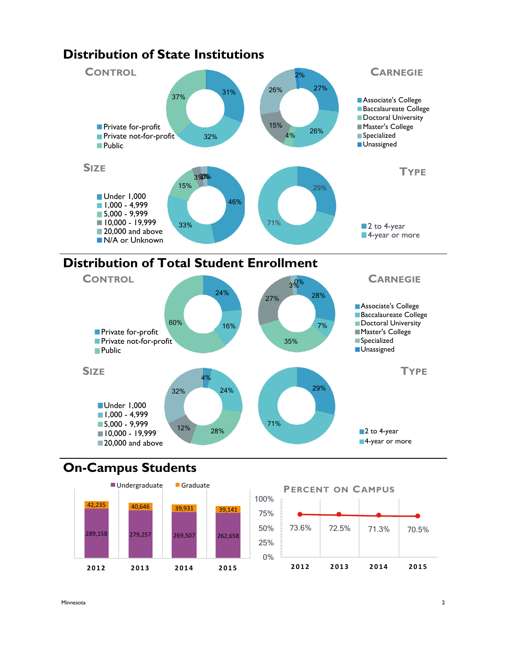

## **Distribution of Total Student Enrollment**



## **On-Campus Students**



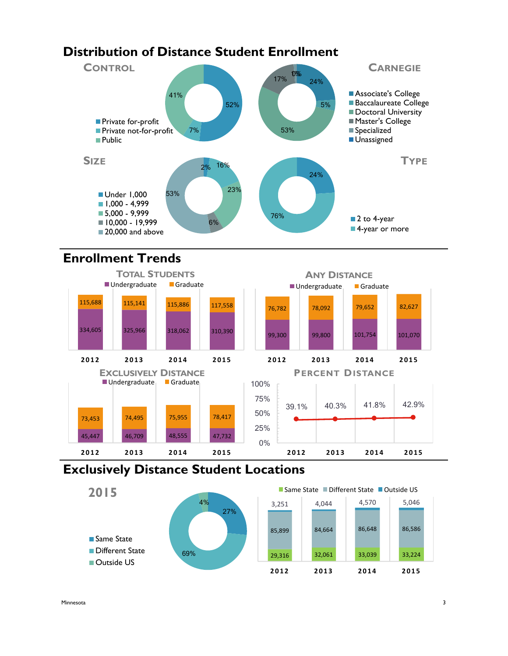#### **Distribution of Distance Student Enrollment** 52% 7% 41% **CONTROL Private for-profit Private not-for-profit Public** 24% 76% **TYPE** ■ 2 to 4-year ■4-year or more 2% 16% 23% 6% 53% **SIZE** Under 1,000  $1,000 - 4,999$ 5,000 - 9,999  $10,000 - 19,999$ 20,000 and above 24% 5% 53% 17% 10%% **CARNEGIE Associate's College Baccalaureate College** Doctoral University ■ Master's College **Specialized Unassigned**

## **Enrollment Trends**



## **Exclusively Distance Student Locations**